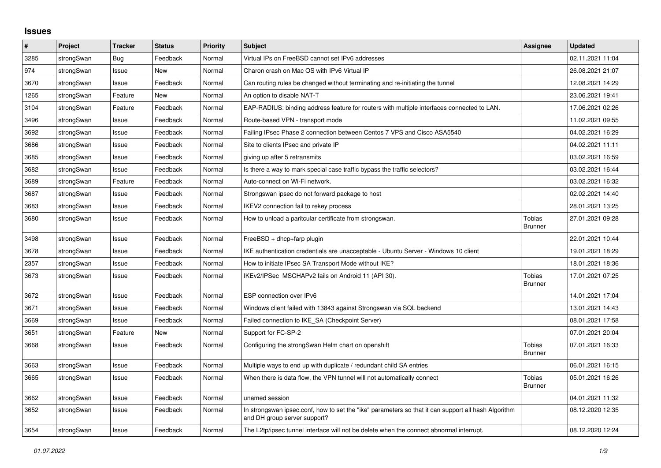## **Issues**

| #    | Project    | <b>Tracker</b> | <b>Status</b> | <b>Priority</b> | <b>Subject</b>                                                                                                                      | <b>Assignee</b>                 | <b>Updated</b>   |
|------|------------|----------------|---------------|-----------------|-------------------------------------------------------------------------------------------------------------------------------------|---------------------------------|------------------|
| 3285 | strongSwan | Bug            | Feedback      | Normal          | Virtual IPs on FreeBSD cannot set IPv6 addresses                                                                                    |                                 | 02.11.2021 11:04 |
| 974  | strongSwan | Issue          | New           | Normal          | Charon crash on Mac OS with IPv6 Virtual IP                                                                                         |                                 | 26.08.2021 21:07 |
| 3670 | strongSwan | Issue          | Feedback      | Normal          | Can routing rules be changed without terminating and re-initiating the tunnel                                                       |                                 | 12.08.2021 14:29 |
| 1265 | strongSwan | Feature        | <b>New</b>    | Normal          | An option to disable NAT-T                                                                                                          |                                 | 23.06.2021 19:41 |
| 3104 | strongSwan | Feature        | Feedback      | Normal          | EAP-RADIUS: binding address feature for routers with multiple interfaces connected to LAN.                                          |                                 | 17.06.2021 02:26 |
| 3496 | strongSwan | Issue          | Feedback      | Normal          | Route-based VPN - transport mode                                                                                                    |                                 | 11.02.2021 09:55 |
| 3692 | strongSwan | Issue          | Feedback      | Normal          | Failing IPsec Phase 2 connection between Centos 7 VPS and Cisco ASA5540                                                             |                                 | 04.02.2021 16:29 |
| 3686 | strongSwan | Issue          | Feedback      | Normal          | Site to clients IPsec and private IP                                                                                                |                                 | 04.02.2021 11:11 |
| 3685 | strongSwan | Issue          | Feedback      | Normal          | giving up after 5 retransmits                                                                                                       |                                 | 03.02.2021 16:59 |
| 3682 | strongSwan | Issue          | Feedback      | Normal          | Is there a way to mark special case traffic bypass the traffic selectors?                                                           |                                 | 03.02.2021 16:44 |
| 3689 | strongSwan | Feature        | Feedback      | Normal          | Auto-connect on Wi-Fi network.                                                                                                      |                                 | 03.02.2021 16:32 |
| 3687 | strongSwan | Issue          | Feedback      | Normal          | Strongswan ipsec do not forward package to host                                                                                     |                                 | 02.02.2021 14:40 |
| 3683 | strongSwan | Issue          | Feedback      | Normal          | IKEV2 connection fail to rekey process                                                                                              |                                 | 28.01.2021 13:25 |
| 3680 | strongSwan | Issue          | Feedback      | Normal          | How to unload a paritcular certificate from strongswan.                                                                             | <b>Tobias</b><br><b>Brunner</b> | 27.01.2021 09:28 |
| 3498 | strongSwan | Issue          | Feedback      | Normal          | $FreeBSD + dhcp + farp plugin$                                                                                                      |                                 | 22.01.2021 10:44 |
| 3678 | strongSwan | Issue          | Feedback      | Normal          | IKE authentication credentials are unacceptable - Ubuntu Server - Windows 10 client                                                 |                                 | 19.01.2021 18:29 |
| 2357 | strongSwan | Issue          | Feedback      | Normal          | How to initiate IPsec SA Transport Mode without IKE?                                                                                |                                 | 18.01.2021 18:36 |
| 3673 | strongSwan | Issue          | Feedback      | Normal          | IKEv2/IPSec MSCHAPv2 fails on Android 11 (API 30).                                                                                  | Tobias<br><b>Brunner</b>        | 17.01.2021 07:25 |
| 3672 | strongSwan | Issue          | Feedback      | Normal          | ESP connection over IPv6                                                                                                            |                                 | 14.01.2021 17:04 |
| 3671 | strongSwan | Issue          | Feedback      | Normal          | Windows client failed with 13843 against Strongswan via SQL backend                                                                 |                                 | 13.01.2021 14:43 |
| 3669 | strongSwan | Issue          | Feedback      | Normal          | Failed connection to IKE SA (Checkpoint Server)                                                                                     |                                 | 08.01.2021 17:58 |
| 3651 | strongSwan | Feature        | <b>New</b>    | Normal          | Support for FC-SP-2                                                                                                                 |                                 | 07.01.2021 20:04 |
| 3668 | strongSwan | Issue          | Feedback      | Normal          | Configuring the strongSwan Helm chart on openshift                                                                                  | Tobias<br><b>Brunner</b>        | 07.01.2021 16:33 |
| 3663 | strongSwan | Issue          | Feedback      | Normal          | Multiple ways to end up with duplicate / redundant child SA entries                                                                 |                                 | 06.01.2021 16:15 |
| 3665 | strongSwan | Issue          | Feedback      | Normal          | When there is data flow, the VPN tunnel will not automatically connect                                                              | Tobias<br><b>Brunner</b>        | 05.01.2021 16:26 |
| 3662 | strongSwan | Issue          | Feedback      | Normal          | unamed session                                                                                                                      |                                 | 04.01.2021 11:32 |
| 3652 | strongSwan | Issue          | Feedback      | Normal          | In strongswan ipsec.conf, how to set the "ike" parameters so that it can support all hash Algorithm<br>and DH group server support? |                                 | 08.12.2020 12:35 |
| 3654 | strongSwan | Issue          | Feedback      | Normal          | The L2tp/ipsec tunnel interface will not be delete when the connect abnormal interrupt.                                             |                                 | 08.12.2020 12:24 |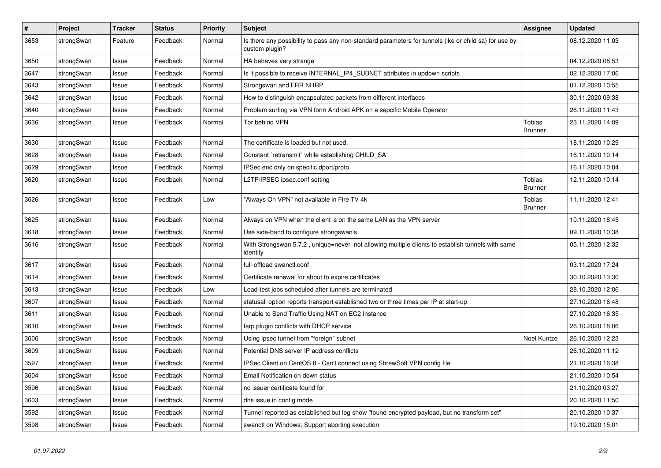| $\pmb{\#}$ | Project    | <b>Tracker</b> | <b>Status</b> | <b>Priority</b> | <b>Subject</b>                                                                                                          | <b>Assignee</b>                 | <b>Updated</b>   |
|------------|------------|----------------|---------------|-----------------|-------------------------------------------------------------------------------------------------------------------------|---------------------------------|------------------|
| 3653       | strongSwan | Feature        | Feedback      | Normal          | Is there any possibility to pass any non-standard parameters for tunnels (ike or child sa) for use by<br>custom plugin? |                                 | 08.12.2020 11:03 |
| 3650       | strongSwan | Issue          | Feedback      | Normal          | HA behaves very strange                                                                                                 |                                 | 04.12.2020 08:53 |
| 3647       | strongSwan | Issue          | Feedback      | Normal          | Is it possible to receive INTERNAL_IP4_SUBNET attributes in updown scripts                                              |                                 | 02.12.2020 17:06 |
| 3643       | strongSwan | Issue          | Feedback      | Normal          | Strongswan and FRR NHRP                                                                                                 |                                 | 01.12.2020 10:55 |
| 3642       | strongSwan | Issue          | Feedback      | Normal          | How to distinguish encapsulated packets from different interfaces                                                       |                                 | 30.11.2020 09:38 |
| 3640       | strongSwan | Issue          | Feedback      | Normal          | Problem surfing via VPN form Android APK on a sepcific Mobile Operator                                                  |                                 | 26.11.2020 11:43 |
| 3636       | strongSwan | Issue          | Feedback      | Normal          | Tor behind VPN                                                                                                          | <b>Tobias</b><br><b>Brunner</b> | 23.11.2020 14:09 |
| 3630       | strongSwan | Issue          | Feedback      | Normal          | The certificate is loaded but not used.                                                                                 |                                 | 18.11.2020 10:29 |
| 3628       | strongSwan | Issue          | Feedback      | Normal          | Constant `retransmit` while establishing CHILD_SA                                                                       |                                 | 16.11.2020 10:14 |
| 3629       | strongSwan | Issue          | Feedback      | Normal          | IPSec enc only on specific dport/proto                                                                                  |                                 | 16.11.2020 10:04 |
| 3620       | strongSwan | Issue          | Feedback      | Normal          | L2TP/IPSEC ipsec.conf setting                                                                                           | <b>Tobias</b><br><b>Brunner</b> | 12.11.2020 10:14 |
| 3626       | strongSwan | Issue          | Feedback      | Low             | "Always On VPN" not available in Fire TV 4k                                                                             | <b>Tobias</b><br><b>Brunner</b> | 11.11.2020 12:41 |
| 3625       | strongSwan | Issue          | Feedback      | Normal          | Always on VPN when the client is on the same LAN as the VPN server                                                      |                                 | 10.11.2020 18:45 |
| 3618       | strongSwan | Issue          | Feedback      | Normal          | Use side-band to configure strongswan's                                                                                 |                                 | 09.11.2020 10:38 |
| 3616       | strongSwan | Issue          | Feedback      | Normal          | With Strongswan 5.7.2, unique=never not allowing multiple clients to establish tunnels with same<br>identity            |                                 | 05.11.2020 12:32 |
| 3617       | strongSwan | Issue          | Feedback      | Normal          | full-offload swanctl.conf                                                                                               |                                 | 03.11.2020 17:24 |
| 3614       | strongSwan | Issue          | Feedback      | Normal          | Certificate renewal for about to expire certificates                                                                    |                                 | 30.10.2020 13:30 |
| 3613       | strongSwan | Issue          | Feedback      | Low             | Load-test jobs scheduled after tunnels are terminated                                                                   |                                 | 28.10.2020 12:06 |
| 3607       | strongSwan | Issue          | Feedback      | Normal          | statusall option reports transport established two or three times per IP at start-up                                    |                                 | 27.10.2020 16:48 |
| 3611       | strongSwan | Issue          | Feedback      | Normal          | Unable to Send Traffic Using NAT on EC2 Instance                                                                        |                                 | 27.10.2020 16:35 |
| 3610       | strongSwan | Issue          | Feedback      | Normal          | farp plugin conflicts with DHCP service                                                                                 |                                 | 26.10.2020 18:06 |
| 3606       | strongSwan | Issue          | Feedback      | Normal          | Using ipsec tunnel from "foreign" subnet                                                                                | Noel Kuntze                     | 26.10.2020 12:23 |
| 3609       | strongSwan | Issue          | Feedback      | Normal          | Potential DNS server IP address conflicts                                                                               |                                 | 26.10.2020 11:12 |
| 3597       | strongSwan | Issue          | Feedback      | Normal          | IPSec Client on CentOS 8 - Can't connect using ShrewSoft VPN config file                                                |                                 | 21.10.2020 16:38 |
| 3604       | strongSwan | Issue          | Feedback      | Normal          | Email Notification on down status                                                                                       |                                 | 21.10.2020 10:54 |
| 3596       | strongSwan | Issue          | Feedback      | Normal          | no issuer certificate found for                                                                                         |                                 | 21.10.2020 03:27 |
| 3603       | strongSwan | Issue          | Feedback      | Normal          | dns issue in config mode                                                                                                |                                 | 20.10.2020 11:50 |
| 3592       | strongSwan | Issue          | Feedback      | Normal          | Tunnel reported as established but log show "found encrypted payload, but no transform set"                             |                                 | 20.10.2020 10:37 |
| 3598       | strongSwan | Issue          | Feedback      | Normal          | swanctl on Windows: Support aborting execution                                                                          |                                 | 19.10.2020 15:01 |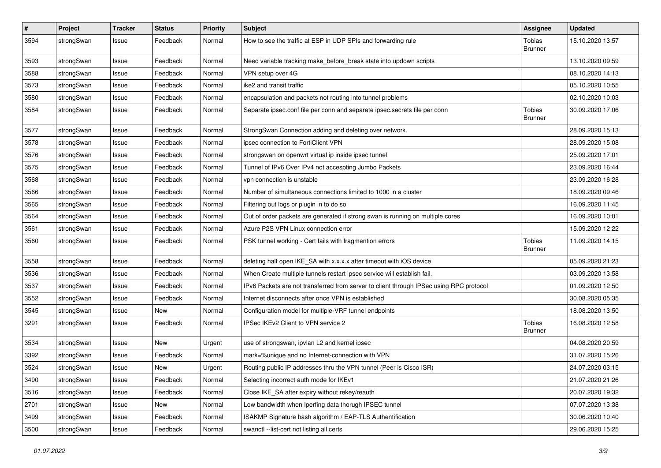| $\pmb{\sharp}$ | Project    | <b>Tracker</b> | <b>Status</b> | <b>Priority</b> | <b>Subject</b>                                                                          | <b>Assignee</b>          | <b>Updated</b>   |
|----------------|------------|----------------|---------------|-----------------|-----------------------------------------------------------------------------------------|--------------------------|------------------|
| 3594           | strongSwan | Issue          | Feedback      | Normal          | How to see the traffic at ESP in UDP SPIs and forwarding rule                           | Tobias<br><b>Brunner</b> | 15.10.2020 13:57 |
| 3593           | strongSwan | Issue          | Feedback      | Normal          | Need variable tracking make before break state into updown scripts                      |                          | 13.10.2020 09:59 |
| 3588           | strongSwan | Issue          | Feedback      | Normal          | VPN setup over 4G                                                                       |                          | 08.10.2020 14:13 |
| 3573           | strongSwan | Issue          | Feedback      | Normal          | ike2 and transit traffic                                                                |                          | 05.10.2020 10:55 |
| 3580           | strongSwan | Issue          | Feedback      | Normal          | encapsulation and packets not routing into tunnel problems                              |                          | 02.10.2020 10:03 |
| 3584           | strongSwan | Issue          | Feedback      | Normal          | Separate ipsec.conf file per conn and separate ipsec.secrets file per conn              | Tobias<br><b>Brunner</b> | 30.09.2020 17:06 |
| 3577           | strongSwan | Issue          | Feedback      | Normal          | StrongSwan Connection adding and deleting over network.                                 |                          | 28.09.2020 15:13 |
| 3578           | strongSwan | Issue          | Feedback      | Normal          | ipsec connection to FortiClient VPN                                                     |                          | 28.09.2020 15:08 |
| 3576           | strongSwan | Issue          | Feedback      | Normal          | strongswan on openwrt virtual ip inside ipsec tunnel                                    |                          | 25.09.2020 17:01 |
| 3575           | strongSwan | Issue          | Feedback      | Normal          | Tunnel of IPv6 Over IPv4 not accespting Jumbo Packets                                   |                          | 23.09.2020 16:44 |
| 3568           | strongSwan | Issue          | Feedback      | Normal          | vpn connection is unstable                                                              |                          | 23.09.2020 16:28 |
| 3566           | strongSwan | Issue          | Feedback      | Normal          | Number of simultaneous connections limited to 1000 in a cluster                         |                          | 18.09.2020 09:46 |
| 3565           | strongSwan | Issue          | Feedback      | Normal          | Filtering out logs or plugin in to do so                                                |                          | 16.09.2020 11:45 |
| 3564           | strongSwan | Issue          | Feedback      | Normal          | Out of order packets are generated if strong swan is running on multiple cores          |                          | 16.09.2020 10:01 |
| 3561           | strongSwan | Issue          | Feedback      | Normal          | Azure P2S VPN Linux connection error                                                    |                          | 15.09.2020 12:22 |
| 3560           | strongSwan | Issue          | Feedback      | Normal          | PSK tunnel working - Cert fails with fragmention errors                                 | Tobias<br>Brunner        | 11.09.2020 14:15 |
| 3558           | strongSwan | Issue          | Feedback      | Normal          | deleting half open IKE_SA with x.x.x.x after timeout with iOS device                    |                          | 05.09.2020 21:23 |
| 3536           | strongSwan | Issue          | Feedback      | Normal          | When Create multiple tunnels restart ipsec service will establish fail.                 |                          | 03.09.2020 13:58 |
| 3537           | strongSwan | Issue          | Feedback      | Normal          | IPv6 Packets are not transferred from server to client through IPSec using RPC protocol |                          | 01.09.2020 12:50 |
| 3552           | strongSwan | Issue          | Feedback      | Normal          | Internet disconnects after once VPN is established                                      |                          | 30.08.2020 05:35 |
| 3545           | strongSwan | Issue          | New           | Normal          | Configuration model for multiple-VRF tunnel endpoints                                   |                          | 18.08.2020 13:50 |
| 3291           | strongSwan | Issue          | Feedback      | Normal          | IPSec IKEv2 Client to VPN service 2                                                     | Tobias<br><b>Brunner</b> | 16.08.2020 12:58 |
| 3534           | strongSwan | Issue          | <b>New</b>    | Urgent          | use of strongswan, ipvlan L2 and kernel ipsec                                           |                          | 04.08.2020 20:59 |
| 3392           | strongSwan | Issue          | Feedback      | Normal          | mark=%unique and no Internet-connection with VPN                                        |                          | 31.07.2020 15:26 |
| 3524           | strongSwan | Issue          | New           | Urgent          | Routing public IP addresses thru the VPN tunnel (Peer is Cisco ISR)                     |                          | 24.07.2020 03:15 |
| 3490           | strongSwan | Issue          | Feedback      | Normal          | Selecting incorrect auth mode for IKEv1                                                 |                          | 21.07.2020 21:26 |
| 3516           | strongSwan | Issue          | Feedback      | Normal          | Close IKE_SA after expiry without rekey/reauth                                          |                          | 20.07.2020 19:32 |
| 2701           | strongSwan | Issue          | New           | Normal          | Low bandwidth when Iperfing data thorugh IPSEC tunnel                                   |                          | 07.07.2020 13:38 |
| 3499           | strongSwan | Issue          | Feedback      | Normal          | ISAKMP Signature hash algorithm / EAP-TLS Authentification                              |                          | 30.06.2020 10:40 |
| 3500           | strongSwan | Issue          | Feedback      | Normal          | swanctl --list-cert not listing all certs                                               |                          | 29.06.2020 15:25 |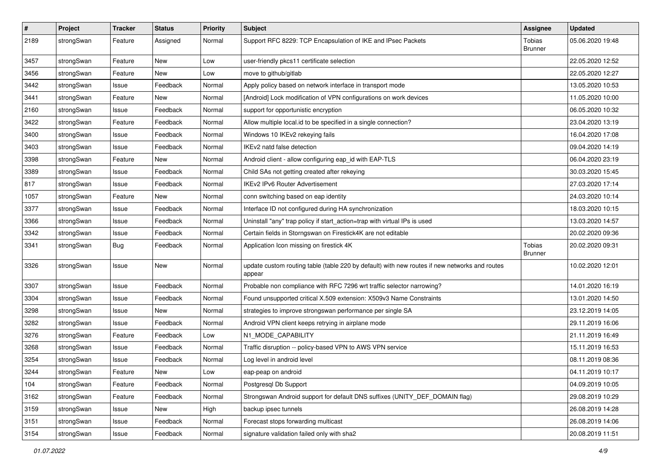| $\sharp$ | Project    | <b>Tracker</b> | <b>Status</b> | <b>Priority</b> | <b>Subject</b>                                                                                          | <b>Assignee</b>          | <b>Updated</b>   |
|----------|------------|----------------|---------------|-----------------|---------------------------------------------------------------------------------------------------------|--------------------------|------------------|
| 2189     | strongSwan | Feature        | Assigned      | Normal          | Support RFC 8229: TCP Encapsulation of IKE and IPsec Packets                                            | Tobias<br><b>Brunner</b> | 05.06.2020 19:48 |
| 3457     | strongSwan | Feature        | New           | Low             | user-friendly pkcs11 certificate selection                                                              |                          | 22.05.2020 12:52 |
| 3456     | strongSwan | Feature        | New           | Low             | move to github/gitlab                                                                                   |                          | 22.05.2020 12:27 |
| 3442     | strongSwan | Issue          | Feedback      | Normal          | Apply policy based on network interface in transport mode                                               |                          | 13.05.2020 10:53 |
| 3441     | strongSwan | Feature        | New           | Normal          | [Android] Lock modification of VPN configurations on work devices                                       |                          | 11.05.2020 10:00 |
| 2160     | strongSwan | Issue          | Feedback      | Normal          | support for opportunistic encryption                                                                    |                          | 06.05.2020 10:32 |
| 3422     | strongSwan | Feature        | Feedback      | Normal          | Allow multiple local.id to be specified in a single connection?                                         |                          | 23.04.2020 13:19 |
| 3400     | strongSwan | Issue          | Feedback      | Normal          | Windows 10 IKEv2 rekeying fails                                                                         |                          | 16.04.2020 17:08 |
| 3403     | strongSwan | Issue          | Feedback      | Normal          | IKEv2 natd false detection                                                                              |                          | 09.04.2020 14:19 |
| 3398     | strongSwan | Feature        | New           | Normal          | Android client - allow configuring eap_id with EAP-TLS                                                  |                          | 06.04.2020 23:19 |
| 3389     | strongSwan | Issue          | Feedback      | Normal          | Child SAs not getting created after rekeying                                                            |                          | 30.03.2020 15:45 |
| 817      | strongSwan | Issue          | Feedback      | Normal          | <b>IKEv2 IPv6 Router Advertisement</b>                                                                  |                          | 27.03.2020 17:14 |
| 1057     | strongSwan | Feature        | <b>New</b>    | Normal          | conn switching based on eap identity                                                                    |                          | 24.03.2020 10:14 |
| 3377     | strongSwan | Issue          | Feedback      | Normal          | Interface ID not configured during HA synchronization                                                   |                          | 18.03.2020 10:15 |
| 3366     | strongSwan | Issue          | Feedback      | Normal          | Uninstall "any" trap policy if start_action=trap with virtual IPs is used                               |                          | 13.03.2020 14:57 |
| 3342     | strongSwan | Issue          | Feedback      | Normal          | Certain fields in Storngswan on Firestick4K are not editable                                            |                          | 20.02.2020 09:36 |
| 3341     | strongSwan | <b>Bug</b>     | Feedback      | Normal          | Application Icon missing on firestick 4K                                                                | Tobias<br><b>Brunner</b> | 20.02.2020 09:31 |
| 3326     | strongSwan | Issue          | <b>New</b>    | Normal          | update custom routing table (table 220 by default) with new routes if new networks and routes<br>appear |                          | 10.02.2020 12:01 |
| 3307     | strongSwan | Issue          | Feedback      | Normal          | Probable non compliance with RFC 7296 wrt traffic selector narrowing?                                   |                          | 14.01.2020 16:19 |
| 3304     | strongSwan | Issue          | Feedback      | Normal          | Found unsupported critical X.509 extension: X509v3 Name Constraints                                     |                          | 13.01.2020 14:50 |
| 3298     | strongSwan | Issue          | New           | Normal          | strategies to improve strongswan performance per single SA                                              |                          | 23.12.2019 14:05 |
| 3282     | strongSwan | Issue          | Feedback      | Normal          | Android VPN client keeps retrying in airplane mode                                                      |                          | 29.11.2019 16:06 |
| 3276     | strongSwan | Feature        | Feedback      | Low             | N1 MODE CAPABILITY                                                                                      |                          | 21.11.2019 16:49 |
| 3268     | strongSwan | Issue          | Feedback      | Normal          | Traffic disruption -- policy-based VPN to AWS VPN service                                               |                          | 15.11.2019 16:53 |
| 3254     | strongSwan | Issue          | Feedback      | Normal          | Log level in android level                                                                              |                          | 08.11.2019 08:36 |
| 3244     | strongSwan | Feature        | New           | Low             | eap-peap on android                                                                                     |                          | 04.11.2019 10:17 |
| 104      | strongSwan | Feature        | Feedback      | Normal          | Postgresgl Db Support                                                                                   |                          | 04.09.2019 10:05 |
| 3162     | strongSwan | Feature        | Feedback      | Normal          | Strongswan Android support for default DNS suffixes (UNITY_DEF_DOMAIN flag)                             |                          | 29.08.2019 10:29 |
| 3159     | strongSwan | Issue          | New           | High            | backup ipsec tunnels                                                                                    |                          | 26.08.2019 14:28 |
| 3151     | strongSwan | Issue          | Feedback      | Normal          | Forecast stops forwarding multicast                                                                     |                          | 26.08.2019 14:06 |
| 3154     | strongSwan | Issue          | Feedback      | Normal          | signature validation failed only with sha2                                                              |                          | 20.08.2019 11:51 |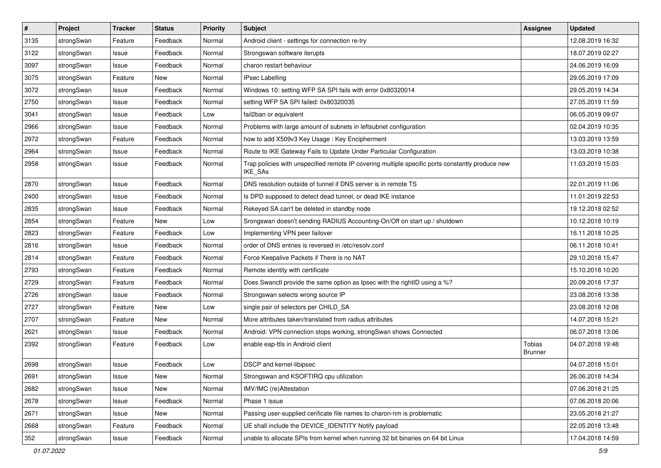| $\pmb{\#}$ | Project    | <b>Tracker</b> | <b>Status</b> | <b>Priority</b> | <b>Subject</b>                                                                                              | <b>Assignee</b>          | <b>Updated</b>   |
|------------|------------|----------------|---------------|-----------------|-------------------------------------------------------------------------------------------------------------|--------------------------|------------------|
| 3135       | strongSwan | Feature        | Feedback      | Normal          | Android client - settings for connection re-try                                                             |                          | 12.08.2019 16:32 |
| 3122       | strongSwan | Issue          | Feedback      | Normal          | Strongswan software iterupts                                                                                |                          | 18.07.2019 02:27 |
| 3097       | strongSwan | Issue          | Feedback      | Normal          | charon restart behaviour                                                                                    |                          | 24.06.2019 16:09 |
| 3075       | strongSwan | Feature        | New           | Normal          | <b>IPsec Labelling</b>                                                                                      |                          | 29.05.2019 17:09 |
| 3072       | strongSwan | Issue          | Feedback      | Normal          | Windows 10: setting WFP SA SPI fails with error 0x80320014                                                  |                          | 29.05.2019 14:34 |
| 2750       | strongSwan | Issue          | Feedback      | Normal          | setting WFP SA SPI failed: 0x80320035                                                                       |                          | 27.05.2019 11:59 |
| 3041       | strongSwan | Issue          | Feedback      | Low             | fail2ban or equivalent                                                                                      |                          | 06.05.2019 09:07 |
| 2966       | strongSwan | Issue          | Feedback      | Normal          | Problems with large amount of subnets in leftsubnet configuration                                           |                          | 02.04.2019 10:35 |
| 2972       | strongSwan | Feature        | Feedback      | Normal          | how to add X509v3 Key Usage: Key Encipherment                                                               |                          | 13.03.2019 13:59 |
| 2964       | strongSwan | Issue          | Feedback      | Normal          | Route to IKE Gateway Fails to Update Under Particular Configuration                                         |                          | 13.03.2019 10:38 |
| 2958       | strongSwan | Issue          | Feedback      | Normal          | Trap policies with unspecified remote IP covering multiple specific ports constantly produce new<br>IKE_SAs |                          | 11.03.2019 15:03 |
| 2870       | strongSwan | Issue          | Feedback      | Normal          | DNS resolution outside of tunnel if DNS server is in remote TS                                              |                          | 22.01.2019 11:06 |
| 2400       | strongSwan | Issue          | Feedback      | Normal          | Is DPD supposed to detect dead tunnel, or dead IKE instance                                                 |                          | 11.01.2019 22:53 |
| 2835       | strongSwan | Issue          | Feedback      | Normal          | Rekeyed SA can't be deleted in standby node                                                                 |                          | 19.12.2018 02:52 |
| 2854       | strongSwan | Feature        | New           | Low             | Srongswan doesn't sending RADIUS Accounting-On/Off on start up / shutdown                                   |                          | 10.12.2018 10:19 |
| 2823       | strongSwan | Feature        | Feedback      | Low             | Implementing VPN peer failover                                                                              |                          | 16.11.2018 10:25 |
| 2816       | strongSwan | Issue          | Feedback      | Normal          | order of DNS entries is reversed in /etc/resolv.conf                                                        |                          | 06.11.2018 10:41 |
| 2814       | strongSwan | Feature        | Feedback      | Normal          | Force Keepalive Packets if There is no NAT                                                                  |                          | 29.10.2018 15:47 |
| 2793       | strongSwan | Feature        | Feedback      | Normal          | Remote identity with certificate                                                                            |                          | 15.10.2018 10:20 |
| 2729       | strongSwan | Feature        | Feedback      | Normal          | Does Swanctl provide the same option as Ipsec with the rightID using a %?                                   |                          | 20.09.2018 17:37 |
| 2726       | strongSwan | Issue          | Feedback      | Normal          | Strongswan selects wrong source IP                                                                          |                          | 23.08.2018 13:38 |
| 2727       | strongSwan | Feature        | New           | Low             | single pair of selectors per CHILD_SA                                                                       |                          | 23.08.2018 12:08 |
| 2707       | strongSwan | Feature        | New           | Normal          | More attributes taken/translated from radius attributes                                                     |                          | 14.07.2018 15:21 |
| 2621       | strongSwan | Issue          | Feedback      | Normal          | Android: VPN connection stops working, strongSwan shows Connected                                           |                          | 06.07.2018 13:06 |
| 2392       | strongSwan | Feature        | Feedback      | Low             | enable eap-ttls in Android client                                                                           | Tobias<br><b>Brunner</b> | 04.07.2018 19:48 |
| 2698       | strongSwan | Issue          | Feedback      | Low             | DSCP and kernel-libipsec                                                                                    |                          | 04.07.2018 15:01 |
| 2691       | strongSwan | Issue          | New           | Normal          | Strongswan and KSOFTIRQ cpu utilization                                                                     |                          | 26.06.2018 14:34 |
| 2682       | strongSwan | Issue          | New           | Normal          | IMV/IMC (re)Attestation                                                                                     |                          | 07.06.2018 21:25 |
| 2678       | strongSwan | Issue          | Feedback      | Normal          | Phase 1 issue                                                                                               |                          | 07.06.2018 20:06 |
| 2671       | strongSwan | Issue          | New           | Normal          | Passing user-supplied cerificate file names to charon-nm is problematic                                     |                          | 23.05.2018 21:27 |
| 2668       | strongSwan | Feature        | Feedback      | Normal          | UE shall include the DEVICE_IDENTITY Notify payload                                                         |                          | 22.05.2018 13:48 |
| 352        | strongSwan | Issue          | Feedback      | Normal          | unable to allocate SPIs from kernel when running 32 bit binaries on 64 bit Linux                            |                          | 17.04.2018 14:59 |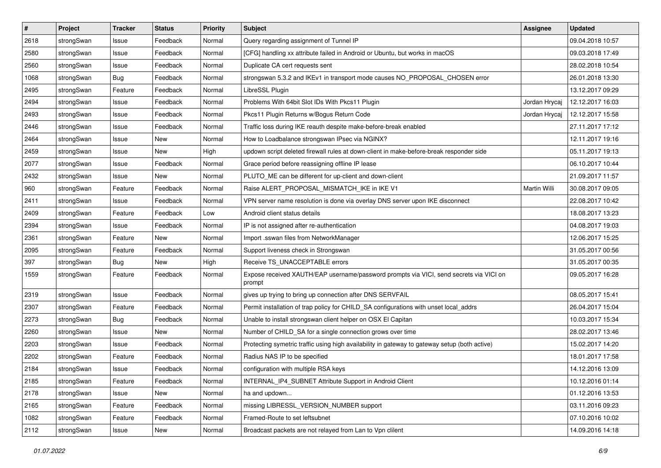| #    | Project    | <b>Tracker</b> | <b>Status</b> | <b>Priority</b> | <b>Subject</b>                                                                                   | <b>Assignee</b> | <b>Updated</b>   |
|------|------------|----------------|---------------|-----------------|--------------------------------------------------------------------------------------------------|-----------------|------------------|
| 2618 | strongSwan | Issue          | Feedback      | Normal          | Query regarding assignment of Tunnel IP                                                          |                 | 09.04.2018 10:57 |
| 2580 | strongSwan | Issue          | Feedback      | Normal          | [CFG] handling xx attribute failed in Android or Ubuntu, but works in macOS                      |                 | 09.03.2018 17:49 |
| 2560 | strongSwan | Issue          | Feedback      | Normal          | Duplicate CA cert requests sent                                                                  |                 | 28.02.2018 10:54 |
| 1068 | strongSwan | Bug            | Feedback      | Normal          | strongswan 5.3.2 and IKEv1 in transport mode causes NO_PROPOSAL_CHOSEN error                     |                 | 26.01.2018 13:30 |
| 2495 | strongSwan | Feature        | Feedback      | Normal          | LibreSSL Plugin                                                                                  |                 | 13.12.2017 09:29 |
| 2494 | strongSwan | Issue          | Feedback      | Normal          | Problems With 64bit Slot IDs With Pkcs11 Plugin                                                  | Jordan Hrycaj   | 12.12.2017 16:03 |
| 2493 | strongSwan | Issue          | Feedback      | Normal          | Pkcs11 Plugin Returns w/Bogus Return Code                                                        | Jordan Hrycaj   | 12.12.2017 15:58 |
| 2446 | strongSwan | Issue          | Feedback      | Normal          | Traffic loss during IKE reauth despite make-before-break enabled                                 |                 | 27.11.2017 17:12 |
| 2464 | strongSwan | Issue          | <b>New</b>    | Normal          | How to Loadbalance strongswan IPsec via NGINX?                                                   |                 | 12.11.2017 19:16 |
| 2459 | strongSwan | Issue          | <b>New</b>    | High            | updown script deleted firewall rules at down-client in make-before-break responder side          |                 | 05.11.2017 19:13 |
| 2077 | strongSwan | Issue          | Feedback      | Normal          | Grace period before reassigning offline IP lease                                                 |                 | 06.10.2017 10:44 |
| 2432 | strongSwan | Issue          | New           | Normal          | PLUTO_ME can be different for up-client and down-client                                          |                 | 21.09.2017 11:57 |
| 960  | strongSwan | Feature        | Feedback      | Normal          | Raise ALERT PROPOSAL MISMATCH IKE in IKE V1                                                      | Martin Willi    | 30.08.2017 09:05 |
| 2411 | strongSwan | Issue          | Feedback      | Normal          | VPN server name resolution is done via overlay DNS server upon IKE disconnect                    |                 | 22.08.2017 10:42 |
| 2409 | strongSwan | Feature        | Feedback      | Low             | Android client status details                                                                    |                 | 18.08.2017 13:23 |
| 2394 | strongSwan | Issue          | Feedback      | Normal          | IP is not assigned after re-authentication                                                       |                 | 04.08.2017 19:03 |
| 2361 | strongSwan | Feature        | New           | Normal          | Import .sswan files from NetworkManager                                                          |                 | 12.06.2017 15:25 |
| 2095 | strongSwan | Feature        | Feedback      | Normal          | Support liveness check in Strongswan                                                             |                 | 31.05.2017 00:56 |
| 397  | strongSwan | <b>Bug</b>     | New           | High            | Receive TS_UNACCEPTABLE errors                                                                   |                 | 31.05.2017 00:35 |
| 1559 | strongSwan | Feature        | Feedback      | Normal          | Expose received XAUTH/EAP username/password prompts via VICI, send secrets via VICI on<br>prompt |                 | 09.05.2017 16:28 |
| 2319 | strongSwan | Issue          | Feedback      | Normal          | gives up trying to bring up connection after DNS SERVFAIL                                        |                 | 08.05.2017 15:41 |
| 2307 | strongSwan | Feature        | Feedback      | Normal          | Permit installation of trap policy for CHILD_SA configurations with unset local_addrs            |                 | 26.04.2017 15:04 |
| 2273 | strongSwan | <b>Bug</b>     | Feedback      | Normal          | Unable to install strongswan client helper on OSX El Capitan                                     |                 | 10.03.2017 15:34 |
| 2260 | strongSwan | Issue          | New           | Normal          | Number of CHILD_SA for a single connection grows over time                                       |                 | 28.02.2017 13:46 |
| 2203 | strongSwan | Issue          | Feedback      | Normal          | Protecting symetric traffic using high availability in gateway to gateway setup (both active)    |                 | 15.02.2017 14:20 |
| 2202 | strongSwan | Feature        | Feedback      | Normal          | Radius NAS IP to be specified                                                                    |                 | 18.01.2017 17:58 |
| 2184 | strongSwan | Issue          | Feedback      | Normal          | configuration with multiple RSA keys                                                             |                 | 14.12.2016 13:09 |
| 2185 | strongSwan | Feature        | Feedback      | Normal          | INTERNAL_IP4_SUBNET Attribute Support in Android Client                                          |                 | 10.12.2016 01:14 |
| 2178 | strongSwan | Issue          | New           | Normal          | ha and updown                                                                                    |                 | 01.12.2016 13:53 |
| 2165 | strongSwan | Feature        | Feedback      | Normal          | missing LIBRESSL_VERSION_NUMBER support                                                          |                 | 03.11.2016 09:23 |
| 1082 | strongSwan | Feature        | Feedback      | Normal          | Framed-Route to set leftsubnet                                                                   |                 | 07.10.2016 10:02 |
| 2112 | strongSwan | Issue          | New           | Normal          | Broadcast packets are not relayed from Lan to Vpn clilent                                        |                 | 14.09.2016 14:18 |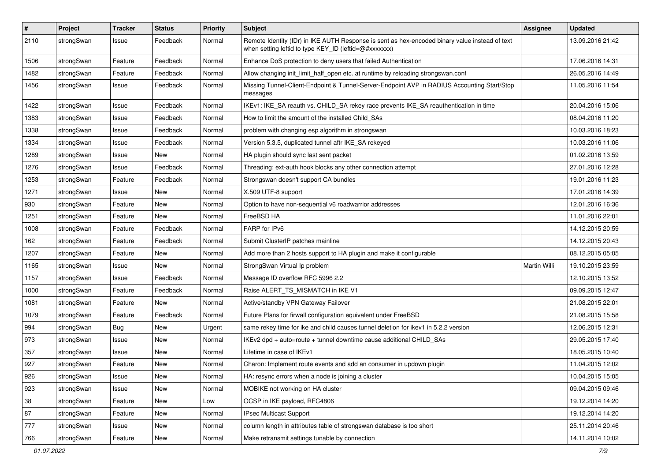| $\sharp$ | Project    | <b>Tracker</b> | <b>Status</b> | <b>Priority</b> | <b>Subject</b>                                                                                                                                          | <b>Assignee</b>     | <b>Updated</b>   |
|----------|------------|----------------|---------------|-----------------|---------------------------------------------------------------------------------------------------------------------------------------------------------|---------------------|------------------|
| 2110     | strongSwan | Issue          | Feedback      | Normal          | Remote Identity (IDr) in IKE AUTH Response is sent as hex-encoded binary value instead of text<br>when setting leftid to type KEY_ID (leftid=@#xxxxxxx) |                     | 13.09.2016 21:42 |
| 1506     | strongSwan | Feature        | Feedback      | Normal          | Enhance DoS protection to deny users that failed Authentication                                                                                         |                     | 17.06.2016 14:31 |
| 1482     | strongSwan | Feature        | Feedback      | Normal          | Allow changing init_limit_half_open etc. at runtime by reloading strongswan.conf                                                                        |                     | 26.05.2016 14:49 |
| 1456     | strongSwan | Issue          | Feedback      | Normal          | Missing Tunnel-Client-Endpoint & Tunnel-Server-Endpoint AVP in RADIUS Accounting Start/Stop<br>messages                                                 |                     | 11.05.2016 11:54 |
| 1422     | strongSwan | Issue          | Feedback      | Normal          | IKEv1: IKE_SA reauth vs. CHILD_SA rekey race prevents IKE_SA reauthentication in time                                                                   |                     | 20.04.2016 15:06 |
| 1383     | strongSwan | Issue          | Feedback      | Normal          | How to limit the amount of the installed Child_SAs                                                                                                      |                     | 08.04.2016 11:20 |
| 1338     | strongSwan | Issue          | Feedback      | Normal          | problem with changing esp algorithm in strongswan                                                                                                       |                     | 10.03.2016 18:23 |
| 1334     | strongSwan | Issue          | Feedback      | Normal          | Version 5.3.5, duplicated tunnel aftr IKE_SA rekeyed                                                                                                    |                     | 10.03.2016 11:06 |
| 1289     | strongSwan | Issue          | New           | Normal          | HA plugin should sync last sent packet                                                                                                                  |                     | 01.02.2016 13:59 |
| 1276     | strongSwan | Issue          | Feedback      | Normal          | Threading: ext-auth hook blocks any other connection attempt                                                                                            |                     | 27.01.2016 12:28 |
| 1253     | strongSwan | Feature        | Feedback      | Normal          | Strongswan doesn't support CA bundles                                                                                                                   |                     | 19.01.2016 11:23 |
| 1271     | strongSwan | Issue          | New           | Normal          | X.509 UTF-8 support                                                                                                                                     |                     | 17.01.2016 14:39 |
| 930      | strongSwan | Feature        | New           | Normal          | Option to have non-sequential v6 roadwarrior addresses                                                                                                  |                     | 12.01.2016 16:36 |
| 1251     | strongSwan | Feature        | New           | Normal          | FreeBSD HA                                                                                                                                              |                     | 11.01.2016 22:01 |
| 1008     | strongSwan | Feature        | Feedback      | Normal          | FARP for IPv6                                                                                                                                           |                     | 14.12.2015 20:59 |
| 162      | strongSwan | Feature        | Feedback      | Normal          | Submit ClusterIP patches mainline                                                                                                                       |                     | 14.12.2015 20:43 |
| 1207     | strongSwan | Feature        | New           | Normal          | Add more than 2 hosts support to HA plugin and make it configurable                                                                                     |                     | 08.12.2015 05:05 |
| 1165     | strongSwan | Issue          | New           | Normal          | StrongSwan Virtual Ip problem                                                                                                                           | <b>Martin Willi</b> | 19.10.2015 23:59 |
| 1157     | strongSwan | Issue          | Feedback      | Normal          | Message ID overflow RFC 5996 2.2                                                                                                                        |                     | 12.10.2015 13:52 |
| 1000     | strongSwan | Feature        | Feedback      | Normal          | Raise ALERT_TS_MISMATCH in IKE V1                                                                                                                       |                     | 09.09.2015 12:47 |
| 1081     | strongSwan | Feature        | New           | Normal          | Active/standby VPN Gateway Failover                                                                                                                     |                     | 21.08.2015 22:01 |
| 1079     | strongSwan | Feature        | Feedback      | Normal          | Future Plans for firwall configuration equivalent under FreeBSD                                                                                         |                     | 21.08.2015 15:58 |
| 994      | strongSwan | Bug            | <b>New</b>    | Urgent          | same rekey time for ike and child causes tunnel deletion for ikev1 in 5.2.2 version                                                                     |                     | 12.06.2015 12:31 |
| 973      | strongSwan | Issue          | <b>New</b>    | Normal          | IKEv2 dpd + auto=route + tunnel downtime cause additional CHILD_SAs                                                                                     |                     | 29.05.2015 17:40 |
| 357      | strongSwan | Issue          | New           | Normal          | Lifetime in case of IKEv1                                                                                                                               |                     | 18.05.2015 10:40 |
| 927      | strongSwan | Feature        | <b>New</b>    | Normal          | Charon: Implement route events and add an consumer in updown plugin                                                                                     |                     | 11.04.2015 12:02 |
| 926      | strongSwan | Issue          | New           | Normal          | HA: resync errors when a node is joining a cluster                                                                                                      |                     | 10.04.2015 15:05 |
| 923      | strongSwan | Issue          | New           | Normal          | MOBIKE not working on HA cluster                                                                                                                        |                     | 09.04.2015 09:46 |
| 38       | strongSwan | Feature        | New           | Low             | OCSP in IKE payload, RFC4806                                                                                                                            |                     | 19.12.2014 14:20 |
| 87       | strongSwan | Feature        | New           | Normal          | IPsec Multicast Support                                                                                                                                 |                     | 19.12.2014 14:20 |
| $777\,$  | strongSwan | Issue          | New           | Normal          | column length in attributes table of strongswan database is too short                                                                                   |                     | 25.11.2014 20:46 |
| 766      | strongSwan | Feature        | New           | Normal          | Make retransmit settings tunable by connection                                                                                                          |                     | 14.11.2014 10:02 |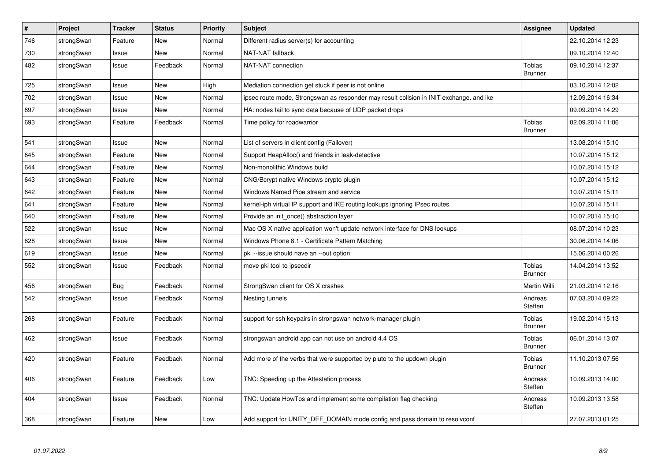| $\vert$ # | Project    | <b>Tracker</b> | <b>Status</b> | <b>Priority</b> | <b>Subject</b>                                                                          | <b>Assignee</b>                 | <b>Updated</b>   |
|-----------|------------|----------------|---------------|-----------------|-----------------------------------------------------------------------------------------|---------------------------------|------------------|
| 746       | strongSwan | Feature        | New           | Normal          | Different radius server(s) for accounting                                               |                                 | 22.10.2014 12:23 |
| 730       | strongSwan | Issue          | <b>New</b>    | Normal          | NAT-NAT fallback                                                                        |                                 | 09.10.2014 12:40 |
| 482       | strongSwan | Issue          | Feedback      | Normal          | NAT-NAT connection                                                                      | Tobias<br><b>Brunner</b>        | 09.10.2014 12:37 |
| 725       | strongSwan | Issue          | <b>New</b>    | High            | Mediation connection get stuck if peer is not online                                    |                                 | 03.10.2014 12:02 |
| 702       | strongSwan | Issue          | <b>New</b>    | Normal          | ipsec route mode, Strongswan as responder may result collsion in INIT exchange. and ike |                                 | 12.09.2014 16:34 |
| 697       | strongSwan | Issue          | <b>New</b>    | Normal          | HA: nodes fail to sync data because of UDP packet drops                                 |                                 | 09.09.2014 14:29 |
| 693       | strongSwan | Feature        | Feedback      | Normal          | Time policy for roadwarrior                                                             | <b>Tobias</b><br><b>Brunner</b> | 02.09.2014 11:06 |
| 541       | strongSwan | Issue          | <b>New</b>    | Normal          | List of servers in client config (Failover)                                             |                                 | 13.08.2014 15:10 |
| 645       | strongSwan | Feature        | <b>New</b>    | Normal          | Support HeapAlloc() and friends in leak-detective                                       |                                 | 10.07.2014 15:12 |
| 644       | strongSwan | Feature        | New           | Normal          | Non-monolithic Windows build                                                            |                                 | 10.07.2014 15:12 |
| 643       | strongSwan | Feature        | New           | Normal          | CNG/Bcrypt native Windows crypto plugin                                                 |                                 | 10.07.2014 15:12 |
| 642       | strongSwan | Feature        | <b>New</b>    | Normal          | Windows Named Pipe stream and service                                                   |                                 | 10.07.2014 15:11 |
| 641       | strongSwan | Feature        | New           | Normal          | kernel-iph virtual IP support and IKE routing lookups ignoring IPsec routes             |                                 | 10.07.2014 15:11 |
| 640       | strongSwan | Feature        | New           | Normal          | Provide an init once() abstraction layer                                                |                                 | 10.07.2014 15:10 |
| 522       | strongSwan | Issue          | <b>New</b>    | Normal          | Mac OS X native application won't update network interface for DNS lookups              |                                 | 08.07.2014 10:23 |
| 628       | strongSwan | Issue          | <b>New</b>    | Normal          | Windows Phone 8.1 - Certificate Pattern Matching                                        |                                 | 30.06.2014 14:06 |
| 619       | strongSwan | Issue          | <b>New</b>    | Normal          | pki --issue should have an --out option                                                 |                                 | 15.06.2014 00:26 |
| 552       | strongSwan | Issue          | Feedback      | Normal          | move pki tool to ipsecdir                                                               | Tobias<br><b>Brunner</b>        | 14.04.2014 13:52 |
| 456       | strongSwan | <b>Bug</b>     | Feedback      | Normal          | StrongSwan client for OS X crashes                                                      | Martin Willi                    | 21.03.2014 12:16 |
| 542       | strongSwan | Issue          | Feedback      | Normal          | Nesting tunnels                                                                         | Andreas<br>Steffen              | 07.03.2014 09:22 |
| 268       | strongSwan | Feature        | Feedback      | Normal          | support for ssh keypairs in strongswan network-manager plugin                           | Tobias<br><b>Brunner</b>        | 19.02.2014 15:13 |
| 462       | strongSwan | Issue          | Feedback      | Normal          | strongswan android app can not use on android 4.4 OS                                    | <b>Tobias</b><br><b>Brunner</b> | 06.01.2014 13:07 |
| 420       | strongSwan | Feature        | Feedback      | Normal          | Add more of the verbs that were supported by pluto to the updown plugin                 | <b>Tobias</b><br><b>Brunner</b> | 11.10.2013 07:56 |
| 406       | strongSwan | Feature        | Feedback      | Low             | TNC: Speeding up the Attestation process                                                | Andreas<br>Steffen              | 10.09.2013 14:00 |
| 404       | strongSwan | Issue          | Feedback      | Normal          | TNC: Update HowTos and implement some compilation flag checking                         | Andreas<br>Steffen              | 10.09.2013 13:58 |
| 368       | strongSwan | Feature        | New           | Low             | Add support for UNITY_DEF_DOMAIN mode config and pass domain to resolvconf              |                                 | 27.07.2013 01:25 |